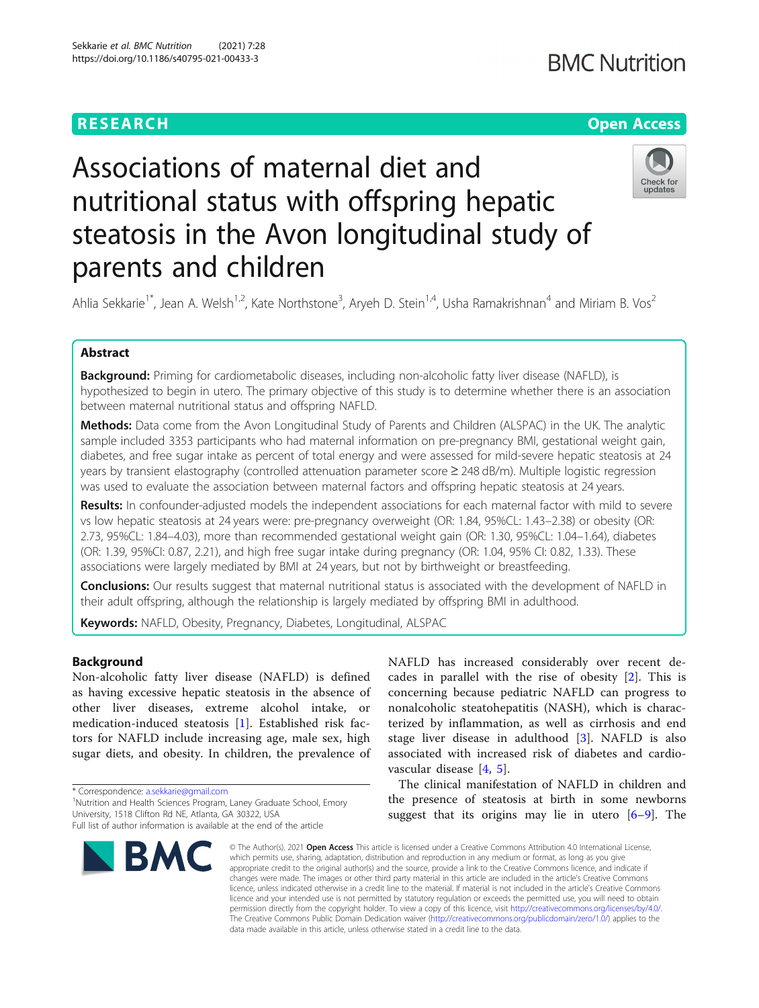# **RESEARCH CHE Open Access**

# Associations of maternal diet and nutritional status with offspring hepatic steatosis in the Avon longitudinal study of parents and children



Ahlia Sekkarie<sup>1\*</sup>, Jean A. Welsh<sup>1,2</sup>, Kate Northstone<sup>3</sup>, Aryeh D. Stein<sup>1,4</sup>, Usha Ramakrishnan<sup>4</sup> and Miriam B. Vos<sup>2</sup>

## Abstract

**Background:** Priming for cardiometabolic diseases, including non-alcoholic fatty liver disease (NAFLD), is hypothesized to begin in utero. The primary objective of this study is to determine whether there is an association between maternal nutritional status and offspring NAFLD.

Methods: Data come from the Avon Longitudinal Study of Parents and Children (ALSPAC) in the UK. The analytic sample included 3353 participants who had maternal information on pre-pregnancy BMI, gestational weight gain, diabetes, and free sugar intake as percent of total energy and were assessed for mild-severe hepatic steatosis at 24 years by transient elastography (controlled attenuation parameter score ≥ 248 dB/m). Multiple logistic regression was used to evaluate the association between maternal factors and offspring hepatic steatosis at 24 years.

Results: In confounder-adjusted models the independent associations for each maternal factor with mild to severe vs low hepatic steatosis at 24 years were: pre-pregnancy overweight (OR: 1.84, 95%CL: 1.43–2.38) or obesity (OR: 2.73, 95%CL: 1.84–4.03), more than recommended gestational weight gain (OR: 1.30, 95%CL: 1.04–1.64), diabetes (OR: 1.39, 95%CI: 0.87, 2.21), and high free sugar intake during pregnancy (OR: 1.04, 95% CI: 0.82, 1.33). These associations were largely mediated by BMI at 24 years, but not by birthweight or breastfeeding.

Conclusions: Our results suggest that maternal nutritional status is associated with the development of NAFLD in their adult offspring, although the relationship is largely mediated by offspring BMI in adulthood.

Keywords: NAFLD, Obesity, Pregnancy, Diabetes, Longitudinal, ALSPAC

#### Background

Non-alcoholic fatty liver disease (NAFLD) is defined as having excessive hepatic steatosis in the absence of other liver diseases, extreme alcohol intake, or medication-induced steatosis [[1\]](#page-9-0). Established risk factors for NAFLD include increasing age, male sex, high sugar diets, and obesity. In children, the prevalence of

\* Correspondence: [a.sekkarie@gmail.com](mailto:a.sekkarie@gmail.com) <sup>1</sup>

<sup>1</sup>Nutrition and Health Sciences Program, Laney Graduate School, Emory University, 1518 Clifton Rd NE, Atlanta, GA 30322, USA

Full list of author information is available at the end of the article



NAFLD has increased considerably over recent decades in parallel with the rise of obesity [[2\]](#page-9-0). This is concerning because pediatric NAFLD can progress to nonalcoholic steatohepatitis (NASH), which is characterized by inflammation, as well as cirrhosis and end stage liver disease in adulthood [\[3](#page-9-0)]. NAFLD is also associated with increased risk of diabetes and cardiovascular disease [[4,](#page-9-0) [5\]](#page-9-0).

The clinical manifestation of NAFLD in children and the presence of steatosis at birth in some newborns suggest that its origins may lie in utero  $[6-9]$  $[6-9]$  $[6-9]$ . The

© The Author(s), 2021 **Open Access** This article is licensed under a Creative Commons Attribution 4.0 International License, which permits use, sharing, adaptation, distribution and reproduction in any medium or format, as long as you give appropriate credit to the original author(s) and the source, provide a link to the Creative Commons licence, and indicate if changes were made. The images or other third party material in this article are included in the article's Creative Commons licence, unless indicated otherwise in a credit line to the material. If material is not included in the article's Creative Commons licence and your intended use is not permitted by statutory regulation or exceeds the permitted use, you will need to obtain permission directly from the copyright holder. To view a copy of this licence, visit [http://creativecommons.org/licenses/by/4.0/.](http://creativecommons.org/licenses/by/4.0/) The Creative Commons Public Domain Dedication waiver [\(http://creativecommons.org/publicdomain/zero/1.0/](http://creativecommons.org/publicdomain/zero/1.0/)) applies to the data made available in this article, unless otherwise stated in a credit line to the data.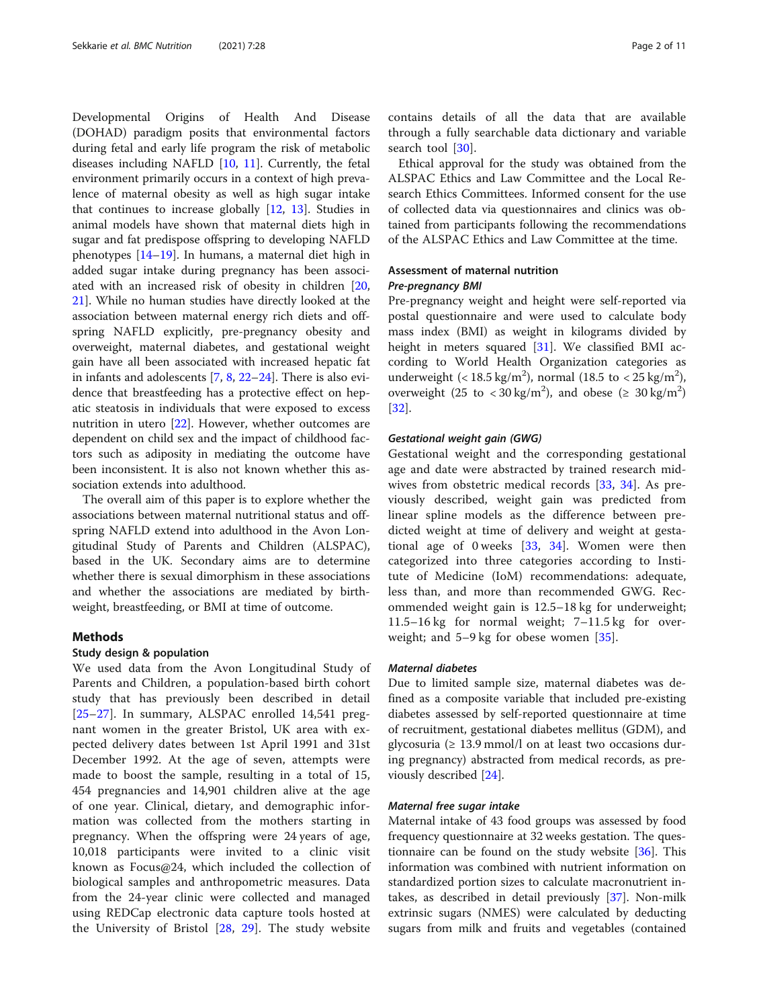Developmental Origins of Health And Disease (DOHAD) paradigm posits that environmental factors during fetal and early life program the risk of metabolic diseases including NAFLD [\[10,](#page-9-0) [11](#page-9-0)]. Currently, the fetal environment primarily occurs in a context of high prevalence of maternal obesity as well as high sugar intake that continues to increase globally [[12,](#page-9-0) [13](#page-9-0)]. Studies in animal models have shown that maternal diets high in sugar and fat predispose offspring to developing NAFLD phenotypes [[14](#page-9-0)–[19](#page-9-0)]. In humans, a maternal diet high in added sugar intake during pregnancy has been associated with an increased risk of obesity in children [[20](#page-9-0), [21\]](#page-9-0). While no human studies have directly looked at the association between maternal energy rich diets and offspring NAFLD explicitly, pre-pregnancy obesity and overweight, maternal diabetes, and gestational weight gain have all been associated with increased hepatic fat in infants and adolescents [[7,](#page-9-0) [8](#page-9-0), [22](#page-9-0)–[24\]](#page-9-0). There is also evidence that breastfeeding has a protective effect on hepatic steatosis in individuals that were exposed to excess nutrition in utero [[22\]](#page-9-0). However, whether outcomes are dependent on child sex and the impact of childhood factors such as adiposity in mediating the outcome have been inconsistent. It is also not known whether this association extends into adulthood.

The overall aim of this paper is to explore whether the associations between maternal nutritional status and offspring NAFLD extend into adulthood in the Avon Longitudinal Study of Parents and Children (ALSPAC), based in the UK. Secondary aims are to determine whether there is sexual dimorphism in these associations and whether the associations are mediated by birthweight, breastfeeding, or BMI at time of outcome.

#### Methods

#### Study design & population

We used data from the Avon Longitudinal Study of Parents and Children, a population-based birth cohort study that has previously been described in detail [[25](#page-9-0)–[27\]](#page-10-0). In summary, ALSPAC enrolled 14,541 pregnant women in the greater Bristol, UK area with expected delivery dates between 1st April 1991 and 31st December 1992. At the age of seven, attempts were made to boost the sample, resulting in a total of 15, 454 pregnancies and 14,901 children alive at the age of one year. Clinical, dietary, and demographic information was collected from the mothers starting in pregnancy. When the offspring were 24 years of age, 10,018 participants were invited to a clinic visit known as Focus@24, which included the collection of biological samples and anthropometric measures. Data from the 24-year clinic were collected and managed using REDCap electronic data capture tools hosted at the University of Bristol [\[28](#page-10-0), [29\]](#page-10-0). The study website

contains details of all the data that are available through a fully searchable data dictionary and variable search tool [[30\]](#page-10-0).

Ethical approval for the study was obtained from the ALSPAC Ethics and Law Committee and the Local Research Ethics Committees. Informed consent for the use of collected data via questionnaires and clinics was obtained from participants following the recommendations of the ALSPAC Ethics and Law Committee at the time.

### Assessment of maternal nutrition Pre-pregnancy BMI

Pre-pregnancy weight and height were self-reported via postal questionnaire and were used to calculate body mass index (BMI) as weight in kilograms divided by height in meters squared [[31](#page-10-0)]. We classified BMI according to World Health Organization categories as underweight (<  $18.5 \text{ kg/m}^2$ ), normal (18.5 to <  $25 \text{ kg/m}^2$ ), overweight (25 to < 30 kg/m<sup>2</sup>), and obese ( $\geq 30$  kg/m<sup>2</sup>) [[32\]](#page-10-0).

#### Gestational weight gain (GWG)

Gestational weight and the corresponding gestational age and date were abstracted by trained research midwives from obstetric medical records [[33,](#page-10-0) [34\]](#page-10-0). As previously described, weight gain was predicted from linear spline models as the difference between predicted weight at time of delivery and weight at gestational age of 0 weeks  $[33, 34]$  $[33, 34]$  $[33, 34]$  $[33, 34]$ . Women were then categorized into three categories according to Institute of Medicine (IoM) recommendations: adequate, less than, and more than recommended GWG. Recommended weight gain is 12.5–18 kg for underweight; 11.5–16 kg for normal weight; 7–11.5 kg for overweight; and 5–9 kg for obese women [[35\]](#page-10-0).

#### Maternal diabetes

Due to limited sample size, maternal diabetes was defined as a composite variable that included pre-existing diabetes assessed by self-reported questionnaire at time of recruitment, gestational diabetes mellitus (GDM), and glycosuria ( $\geq 13.9$  mmol/l on at least two occasions during pregnancy) abstracted from medical records, as previously described [[24\]](#page-9-0).

#### Maternal free sugar intake

Maternal intake of 43 food groups was assessed by food frequency questionnaire at 32 weeks gestation. The questionnaire can be found on the study website [\[36\]](#page-10-0). This information was combined with nutrient information on standardized portion sizes to calculate macronutrient intakes, as described in detail previously [[37\]](#page-10-0). Non-milk extrinsic sugars (NMES) were calculated by deducting sugars from milk and fruits and vegetables (contained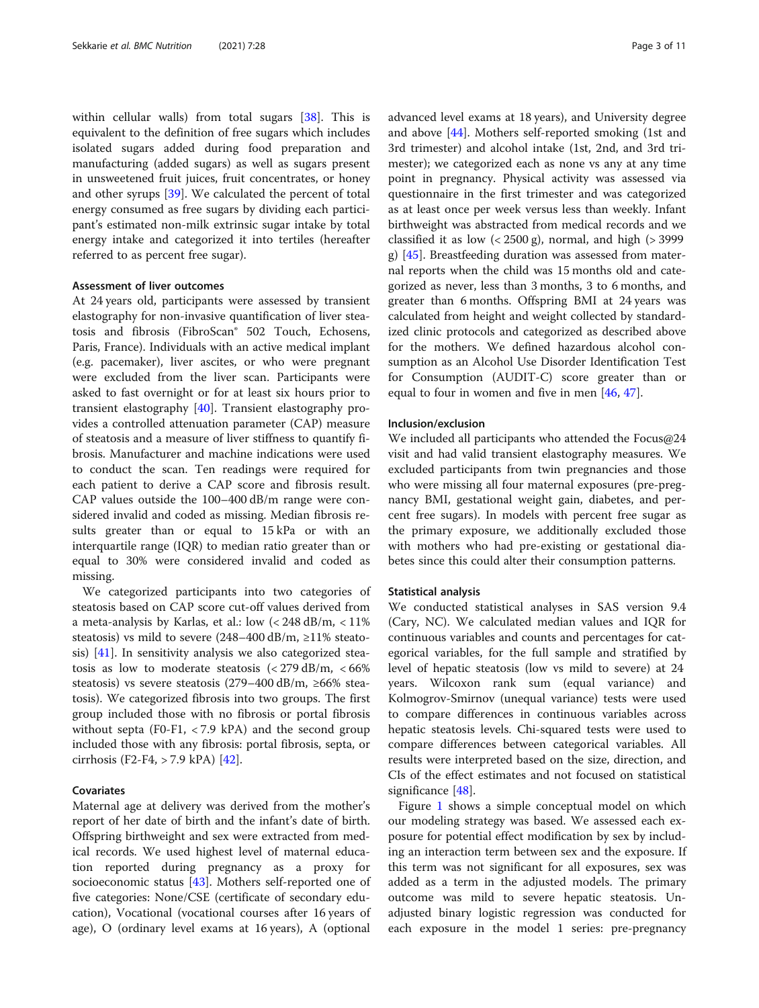within cellular walls) from total sugars [[38\]](#page-10-0). This is equivalent to the definition of free sugars which includes isolated sugars added during food preparation and manufacturing (added sugars) as well as sugars present in unsweetened fruit juices, fruit concentrates, or honey and other syrups [[39\]](#page-10-0). We calculated the percent of total energy consumed as free sugars by dividing each participant's estimated non-milk extrinsic sugar intake by total energy intake and categorized it into tertiles (hereafter referred to as percent free sugar).

#### Assessment of liver outcomes

At 24 years old, participants were assessed by transient elastography for non-invasive quantification of liver steatosis and fibrosis (FibroScan® 502 Touch, Echosens, Paris, France). Individuals with an active medical implant (e.g. pacemaker), liver ascites, or who were pregnant were excluded from the liver scan. Participants were asked to fast overnight or for at least six hours prior to transient elastography [\[40\]](#page-10-0). Transient elastography provides a controlled attenuation parameter (CAP) measure of steatosis and a measure of liver stiffness to quantify fibrosis. Manufacturer and machine indications were used to conduct the scan. Ten readings were required for each patient to derive a CAP score and fibrosis result. CAP values outside the 100–400 dB/m range were considered invalid and coded as missing. Median fibrosis results greater than or equal to 15 kPa or with an interquartile range (IQR) to median ratio greater than or equal to 30% were considered invalid and coded as missing.

We categorized participants into two categories of steatosis based on CAP score cut-off values derived from a meta-analysis by Karlas, et al.: low  $\langle$  < 248 dB/m, < 11% steatosis) vs mild to severe (248–400 dB/m, ≥11% steatosis) [[41\]](#page-10-0). In sensitivity analysis we also categorized steatosis as low to moderate steatosis  $\left( < 279 \text{ dB/m}, \, < 66\% \right)$ steatosis) vs severe steatosis (279–400 dB/m, ≥66% steatosis). We categorized fibrosis into two groups. The first group included those with no fibrosis or portal fibrosis without septa (F0-F1,  $<$  7.9 kPA) and the second group included those with any fibrosis: portal fibrosis, septa, or cirrhosis (F2-F4, > 7.9 kPA) [\[42](#page-10-0)].

#### Covariates

Maternal age at delivery was derived from the mother's report of her date of birth and the infant's date of birth. Offspring birthweight and sex were extracted from medical records. We used highest level of maternal education reported during pregnancy as a proxy for socioeconomic status [\[43](#page-10-0)]. Mothers self-reported one of five categories: None/CSE (certificate of secondary education), Vocational (vocational courses after 16 years of age), O (ordinary level exams at 16 years), A (optional advanced level exams at 18 years), and University degree and above [[44\]](#page-10-0). Mothers self-reported smoking (1st and 3rd trimester) and alcohol intake (1st, 2nd, and 3rd trimester); we categorized each as none vs any at any time point in pregnancy. Physical activity was assessed via questionnaire in the first trimester and was categorized as at least once per week versus less than weekly. Infant birthweight was abstracted from medical records and we classified it as low  $\left($  < 2500 g), normal, and high  $\left($  > 3999 g) [[45\]](#page-10-0). Breastfeeding duration was assessed from maternal reports when the child was 15 months old and categorized as never, less than 3 months, 3 to 6 months, and greater than 6 months. Offspring BMI at 24 years was calculated from height and weight collected by standardized clinic protocols and categorized as described above for the mothers. We defined hazardous alcohol consumption as an Alcohol Use Disorder Identification Test for Consumption (AUDIT-C) score greater than or equal to four in women and five in men [[46,](#page-10-0) [47](#page-10-0)].

#### Inclusion/exclusion

We included all participants who attended the Focus@24 visit and had valid transient elastography measures. We excluded participants from twin pregnancies and those who were missing all four maternal exposures (pre-pregnancy BMI, gestational weight gain, diabetes, and percent free sugars). In models with percent free sugar as the primary exposure, we additionally excluded those with mothers who had pre-existing or gestational diabetes since this could alter their consumption patterns.

#### Statistical analysis

We conducted statistical analyses in SAS version 9.4 (Cary, NC). We calculated median values and IQR for continuous variables and counts and percentages for categorical variables, for the full sample and stratified by level of hepatic steatosis (low vs mild to severe) at 24 years. Wilcoxon rank sum (equal variance) and Kolmogrov-Smirnov (unequal variance) tests were used to compare differences in continuous variables across hepatic steatosis levels. Chi-squared tests were used to compare differences between categorical variables. All results were interpreted based on the size, direction, and CIs of the effect estimates and not focused on statistical significance [\[48](#page-10-0)].

Figure [1](#page-3-0) shows a simple conceptual model on which our modeling strategy was based. We assessed each exposure for potential effect modification by sex by including an interaction term between sex and the exposure. If this term was not significant for all exposures, sex was added as a term in the adjusted models. The primary outcome was mild to severe hepatic steatosis. Unadjusted binary logistic regression was conducted for each exposure in the model 1 series: pre-pregnancy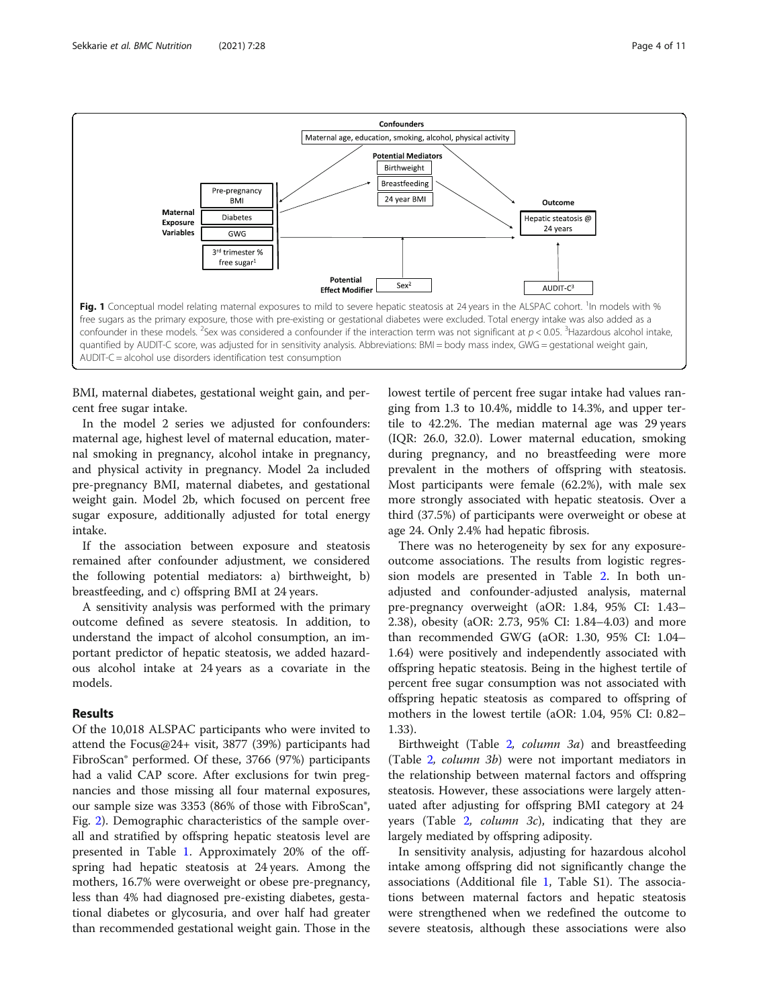<span id="page-3-0"></span>

BMI, maternal diabetes, gestational weight gain, and percent free sugar intake.

In the model 2 series we adjusted for confounders: maternal age, highest level of maternal education, maternal smoking in pregnancy, alcohol intake in pregnancy, and physical activity in pregnancy. Model 2a included pre-pregnancy BMI, maternal diabetes, and gestational weight gain. Model 2b, which focused on percent free sugar exposure, additionally adjusted for total energy intake.

If the association between exposure and steatosis remained after confounder adjustment, we considered the following potential mediators: a) birthweight, b) breastfeeding, and c) offspring BMI at 24 years.

A sensitivity analysis was performed with the primary outcome defined as severe steatosis. In addition, to understand the impact of alcohol consumption, an important predictor of hepatic steatosis, we added hazardous alcohol intake at 24 years as a covariate in the models.

#### Results

Of the 10,018 ALSPAC participants who were invited to attend the Focus@24+ visit, 3877 (39%) participants had FibroScan® performed. Of these, 3766 (97%) participants had a valid CAP score. After exclusions for twin pregnancies and those missing all four maternal exposures, our sample size was 3353 (86% of those with FibroScan®, Fig. [2\)](#page-4-0). Demographic characteristics of the sample overall and stratified by offspring hepatic steatosis level are presented in Table [1.](#page-5-0) Approximately 20% of the offspring had hepatic steatosis at 24 years. Among the mothers, 16.7% were overweight or obese pre-pregnancy, less than 4% had diagnosed pre-existing diabetes, gestational diabetes or glycosuria, and over half had greater than recommended gestational weight gain. Those in the lowest tertile of percent free sugar intake had values ranging from 1.3 to 10.4%, middle to 14.3%, and upper tertile to 42.2%. The median maternal age was 29 years (IQR: 26.0, 32.0). Lower maternal education, smoking during pregnancy, and no breastfeeding were more prevalent in the mothers of offspring with steatosis. Most participants were female (62.2%), with male sex more strongly associated with hepatic steatosis. Over a third (37.5%) of participants were overweight or obese at age 24. Only 2.4% had hepatic fibrosis.

There was no heterogeneity by sex for any exposureoutcome associations. The results from logistic regression models are presented in Table [2](#page-7-0). In both unadjusted and confounder-adjusted analysis, maternal pre-pregnancy overweight (aOR: 1.84, 95% CI: 1.43– 2.38), obesity (aOR: 2.73, 95% CI: 1.84–4.03) and more than recommended GWG (aOR: 1.30, 95% CI: 1.04– 1.64) were positively and independently associated with offspring hepatic steatosis. Being in the highest tertile of percent free sugar consumption was not associated with offspring hepatic steatosis as compared to offspring of mothers in the lowest tertile (aOR: 1.04, 95% CI: 0.82– 1.33).

Birthweight (Table [2](#page-7-0), column 3a) and breastfeeding (Table [2](#page-7-0), column 3b) were not important mediators in the relationship between maternal factors and offspring steatosis. However, these associations were largely attenuated after adjusting for offspring BMI category at 24 years (Table [2](#page-7-0), column 3c), indicating that they are largely mediated by offspring adiposity.

In sensitivity analysis, adjusting for hazardous alcohol intake among offspring did not significantly change the associations (Additional file [1,](#page-8-0) Table S1). The associations between maternal factors and hepatic steatosis were strengthened when we redefined the outcome to severe steatosis, although these associations were also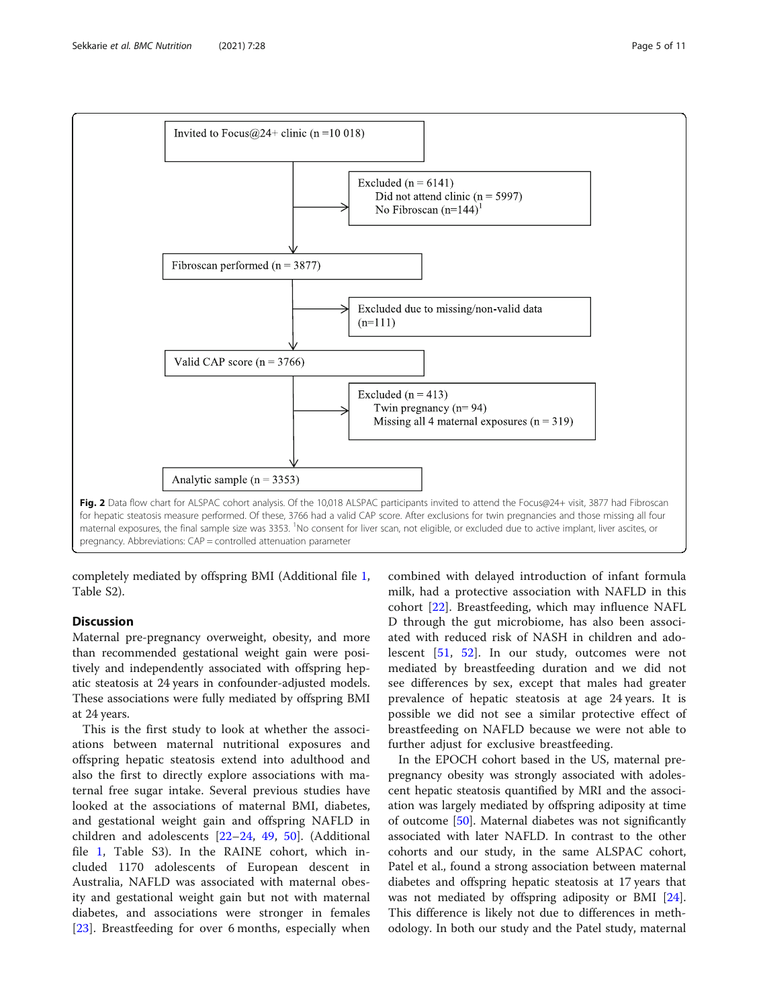<span id="page-4-0"></span>

completely mediated by offspring BMI (Additional file [1](#page-8-0), Table S2).

#### **Discussion**

Maternal pre-pregnancy overweight, obesity, and more than recommended gestational weight gain were positively and independently associated with offspring hepatic steatosis at 24 years in confounder-adjusted models. These associations were fully mediated by offspring BMI at 24 years.

This is the first study to look at whether the associations between maternal nutritional exposures and offspring hepatic steatosis extend into adulthood and also the first to directly explore associations with maternal free sugar intake. Several previous studies have looked at the associations of maternal BMI, diabetes, and gestational weight gain and offspring NAFLD in children and adolescents [\[22](#page-9-0)–[24](#page-9-0), [49,](#page-10-0) [50\]](#page-10-0). (Additional file [1,](#page-8-0) Table S3). In the RAINE cohort, which included 1170 adolescents of European descent in Australia, NAFLD was associated with maternal obesity and gestational weight gain but not with maternal diabetes, and associations were stronger in females [[23\]](#page-9-0). Breastfeeding for over 6 months, especially when combined with delayed introduction of infant formula milk, had a protective association with NAFLD in this cohort [\[22](#page-9-0)]. Breastfeeding, which may influence NAFL D through the gut microbiome, has also been associated with reduced risk of NASH in children and adolescent [\[51](#page-10-0), [52](#page-10-0)]. In our study, outcomes were not mediated by breastfeeding duration and we did not see differences by sex, except that males had greater prevalence of hepatic steatosis at age 24 years. It is possible we did not see a similar protective effect of breastfeeding on NAFLD because we were not able to further adjust for exclusive breastfeeding.

In the EPOCH cohort based in the US, maternal prepregnancy obesity was strongly associated with adolescent hepatic steatosis quantified by MRI and the association was largely mediated by offspring adiposity at time of outcome [\[50](#page-10-0)]. Maternal diabetes was not significantly associated with later NAFLD. In contrast to the other cohorts and our study, in the same ALSPAC cohort, Patel et al., found a strong association between maternal diabetes and offspring hepatic steatosis at 17 years that was not mediated by offspring adiposity or BMI [\[24](#page-9-0)]. This difference is likely not due to differences in methodology. In both our study and the Patel study, maternal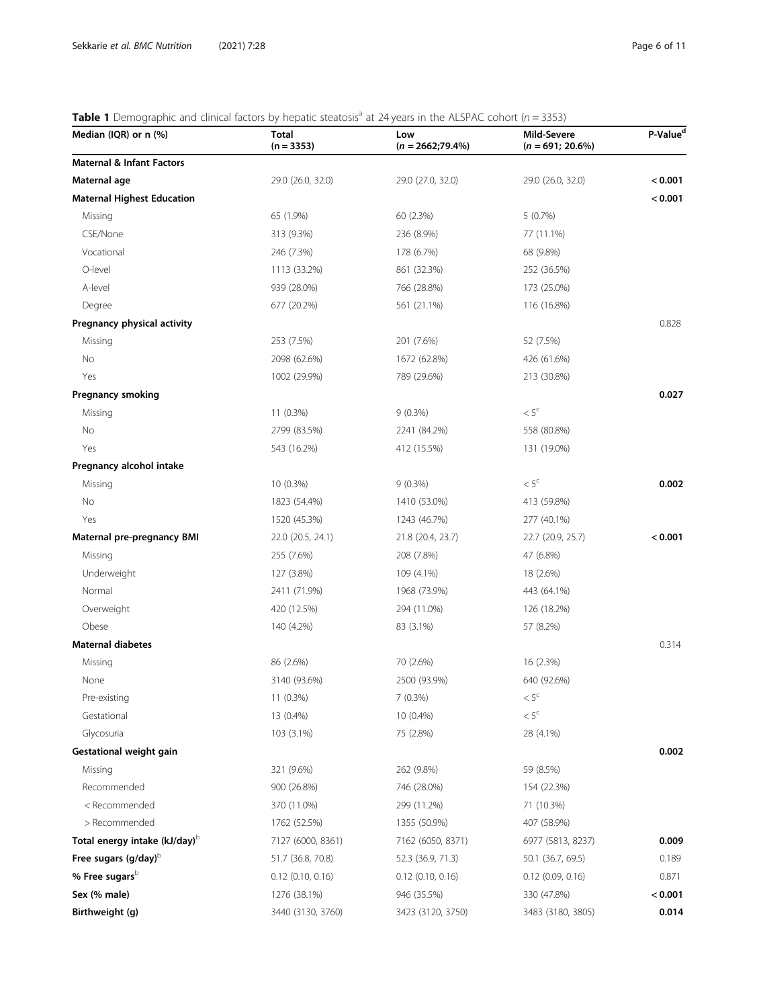# <span id="page-5-0"></span>**Table 1** Demographic and clinical factors by hepatic steatosis<sup>a</sup> at 24 years in the ALSPAC cohort ( $n = 3353$ )

| Median (IQR) or n (%)                                                                                   | Total<br>$(n = 3353)$ | Low<br>$(n = 2662; 79.4\%)$ | Mild-Severe<br>$(n = 691; 20.6\%)$ | P-Value <sup>d</sup> |
|---------------------------------------------------------------------------------------------------------|-----------------------|-----------------------------|------------------------------------|----------------------|
| <b>Maternal &amp; Infant Factors</b>                                                                    |                       |                             |                                    |                      |
| Maternal age                                                                                            | 29.0 (26.0, 32.0)     | 29.0 (27.0, 32.0)           | 29.0 (26.0, 32.0)                  | < 0.001              |
| <b>Maternal Highest Education</b>                                                                       |                       |                             |                                    | < 0.001              |
| Missing                                                                                                 | 65 (1.9%)             | 60 (2.3%)                   | 5(0.7%)                            |                      |
| CSE/None                                                                                                | 313 (9.3%)            | 236 (8.9%)                  | 77 (11.1%)                         |                      |
| Vocational                                                                                              | 246 (7.3%)            | 178 (6.7%)                  | 68 (9.8%)                          |                      |
| O-level                                                                                                 | 1113 (33.2%)          | 861 (32.3%)                 | 252 (36.5%)                        |                      |
| A-level                                                                                                 | 939 (28.0%)           | 766 (28.8%)                 | 173 (25.0%)                        |                      |
| Degree                                                                                                  | 677 (20.2%)           | 561 (21.1%)                 | 116 (16.8%)                        |                      |
| Pregnancy physical activity                                                                             |                       |                             |                                    | 0.828                |
| Missing                                                                                                 | 253 (7.5%)            | 201 (7.6%)                  | 52 (7.5%)                          |                      |
| No                                                                                                      | 2098 (62.6%)          | 1672 (62.8%)                | 426 (61.6%)                        |                      |
| Yes                                                                                                     | 1002 (29.9%)          | 789 (29.6%)                 | 213 (30.8%)                        |                      |
| <b>Pregnancy smoking</b>                                                                                |                       |                             |                                    | 0.027                |
| Missing                                                                                                 | $11(0.3\%)$           | $9(0.3\%)$                  | $< 5^{\circ}$                      |                      |
| No                                                                                                      | 2799 (83.5%)          | 2241 (84.2%)                | 558 (80.8%)                        |                      |
| Yes                                                                                                     | 543 (16.2%)           | 412 (15.5%)                 | 131 (19.0%)                        |                      |
| Pregnancy alcohol intake                                                                                |                       |                             |                                    |                      |
| Missing                                                                                                 | $10(0.3\%)$           | $9(0.3\%)$                  | $< 5^{\circ}$                      | 0.002                |
| No                                                                                                      | 1823 (54.4%)          | 1410 (53.0%)                | 413 (59.8%)                        |                      |
| Yes                                                                                                     | 1520 (45.3%)          | 1243 (46.7%)                | 277 (40.1%)                        |                      |
| Maternal pre-pregnancy BMI                                                                              | 22.0 (20.5, 24.1)     | 21.8 (20.4, 23.7)           | 22.7 (20.9, 25.7)                  | < 0.001              |
| Missing                                                                                                 | 255 (7.6%)            | 208 (7.8%)                  | 47 (6.8%)                          |                      |
| Underweight                                                                                             | 127 (3.8%)            | 109 (4.1%)                  | 18 (2.6%)                          |                      |
| Normal                                                                                                  | 2411 (71.9%)          | 1968 (73.9%)                | 443 (64.1%)                        |                      |
| Overweight                                                                                              | 420 (12.5%)           | 294 (11.0%)                 | 126 (18.2%)                        |                      |
| Obese                                                                                                   | 140 (4.2%)            | 83 (3.1%)                   | 57 (8.2%)                          |                      |
| <b>Maternal diabetes</b>                                                                                |                       |                             |                                    | 0.314                |
| Missing                                                                                                 | 86 (2.6%)             | 70 (2.6%)                   | 16 (2.3%)                          |                      |
| None                                                                                                    | 3140 (93.6%)          | 2500 (93.9%)                | 640 (92.6%)                        |                      |
| Pre-existing                                                                                            | 11 (0.3%)             | $7(0.3\%)$                  | $< 5^{\circ}$                      |                      |
| Gestational                                                                                             | 13 (0.4%)             | 10 (0.4%)                   | $< 5^{\circ}$                      |                      |
| Glycosuria                                                                                              | 103 (3.1%)            | 75 (2.8%)                   | 28 (4.1%)                          |                      |
| Gestational weight gain                                                                                 |                       |                             |                                    | 0.002                |
| Missing                                                                                                 | 321 (9.6%)            | 262 (9.8%)                  | 59 (8.5%)                          |                      |
| Recommended                                                                                             | 900 (26.8%)           | 746 (28.0%)                 | 154 (22.3%)                        |                      |
| <recommended< td=""><td>370 (11.0%)</td><td>299 (11.2%)</td><td>71 (10.3%)</td><td></td></recommended<> | 370 (11.0%)           | 299 (11.2%)                 | 71 (10.3%)                         |                      |
| > Recommended                                                                                           | 1762 (52.5%)          | 1355 (50.9%)                | 407 (58.9%)                        |                      |
| Total energy intake (kJ/day) <sup>b</sup>                                                               | 7127 (6000, 8361)     | 7162 (6050, 8371)           | 6977 (5813, 8237)                  | 0.009                |
| Free sugars (g/day) <sup>b</sup>                                                                        | 51.7 (36.8, 70.8)     | 52.3 (36.9, 71.3)           | 50.1 (36.7, 69.5)                  | 0.189                |
| % Free sugars <sup>b</sup>                                                                              | $0.12$ (0.10, 0.16)   | $0.12$ (0.10, 0.16)         | $0.12$ (0.09, 0.16)                | 0.871                |
| Sex (% male)                                                                                            | 1276 (38.1%)          | 946 (35.5%)                 | 330 (47.8%)                        | < 0.001              |
| Birthweight (g)                                                                                         | 3440 (3130, 3760)     | 3423 (3120, 3750)           | 3483 (3180, 3805)                  | 0.014                |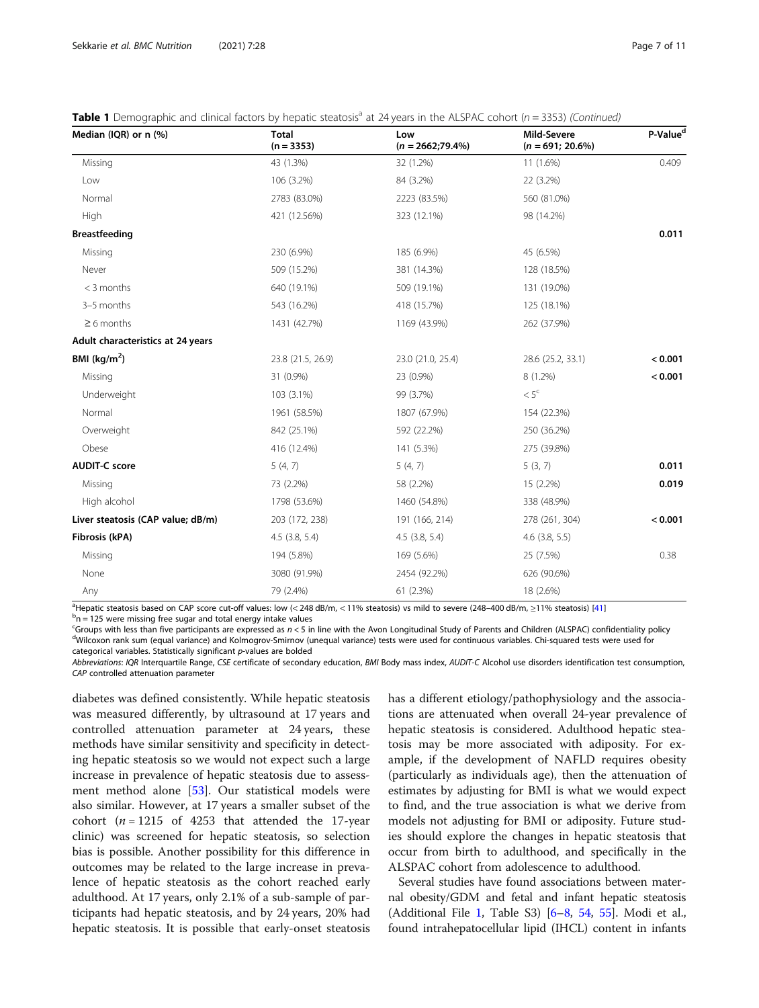|  |  | Table 1 Demographic and clinical factors by hepatic steatosis <sup>a</sup> at 24 years in the ALSPAC cohort (n = 3353) (Continued) |
|--|--|------------------------------------------------------------------------------------------------------------------------------------|
|  |  |                                                                                                                                    |

| Median (IQR) or n (%)             | <b>Total</b><br>$(n = 3353)$ | Low<br>$(n = 2662; 79.4\%)$ | Mild-Severe<br>$(n = 691; 20.6%)$ | P-Value <sup>d</sup> |  |
|-----------------------------------|------------------------------|-----------------------------|-----------------------------------|----------------------|--|
| Missing                           | 43 (1.3%)                    | 32 (1.2%)                   | 11 (1.6%)                         | 0.409                |  |
| Low                               | 106 (3.2%)                   | 84 (3.2%)                   | 22 (3.2%)                         |                      |  |
| Normal                            | 2783 (83.0%)                 | 2223 (83.5%)                | 560 (81.0%)                       |                      |  |
| High                              | 421 (12.56%)                 | 323 (12.1%)                 | 98 (14.2%)                        |                      |  |
| <b>Breastfeeding</b>              |                              |                             |                                   | 0.011                |  |
| Missing                           | 230 (6.9%)                   | 185 (6.9%)                  | 45 (6.5%)                         |                      |  |
| Never                             | 509 (15.2%)                  | 381 (14.3%)                 | 128 (18.5%)                       |                      |  |
| < 3 months                        | 640 (19.1%)                  | 509 (19.1%)                 | 131 (19.0%)                       |                      |  |
| 3-5 months                        | 543 (16.2%)                  | 418 (15.7%)                 | 125 (18.1%)                       |                      |  |
| $\geq 6$ months                   | 1431 (42.7%)                 | 1169 (43.9%)                | 262 (37.9%)                       |                      |  |
| Adult characteristics at 24 years |                              |                             |                                   |                      |  |
| BMI ( $\text{kg/m}^2$ )           | 23.8 (21.5, 26.9)            | 23.0 (21.0, 25.4)           | 28.6 (25.2, 33.1)                 | < 0.001              |  |
| Missing                           | 31 (0.9%)                    | 23 (0.9%)                   | 8 (1.2%)                          | < 0.001              |  |
| Underweight                       | 103 (3.1%)                   | 99 (3.7%)                   | $< 5^{\circ}$                     |                      |  |
| Normal                            | 1961 (58.5%)                 | 1807 (67.9%)                | 154 (22.3%)                       |                      |  |
| Overweight                        | 842 (25.1%)                  | 592 (22.2%)                 | 250 (36.2%)                       |                      |  |
| Obese                             | 416 (12.4%)                  | 141 (5.3%)                  | 275 (39.8%)                       |                      |  |
| <b>AUDIT-C score</b>              | 5(4, 7)                      | 5(4, 7)                     | 5(3, 7)                           | 0.011                |  |
| Missing                           | 73 (2.2%)                    | 58 (2.2%)                   | 15 (2.2%)                         | 0.019                |  |
| High alcohol                      | 1798 (53.6%)                 | 1460 (54.8%)                | 338 (48.9%)                       |                      |  |
| Liver steatosis (CAP value; dB/m) | 203 (172, 238)               | 191 (166, 214)              | 278 (261, 304)                    | < 0.001              |  |
| Fibrosis (kPA)                    | $4.5$ $(3.8, 5.4)$           | $4.5$ $(3.8, 5.4)$          | $4.6$ (3.8, 5.5)                  |                      |  |
| Missing                           | 194 (5.8%)                   | 169 (5.6%)                  | 25 (7.5%)                         | 0.38                 |  |
| None                              | 3080 (91.9%)                 | 2454 (92.2%)                | 626 (90.6%)                       |                      |  |
| Any                               | 79 (2.4%)                    | 61 (2.3%)                   | 18 (2.6%)                         |                      |  |

<sup>a</sup>Hepatic steatosis based on CAP score cut-off values: low (< 248 dB/m, < 11% steatosis) vs mild to severe (248–400 dB/m, ≥11% steatosis) [[41\]](#page-10-0) be steatosis [41] be steatosis [41] be steatosis [41] be steatosis [41] be s  $<sup>b</sup>n = 125$  were missing free sugar and total energy intake values</sup>

Croups with less than five participants are expressed as  $n < 5$  in line with the Avon Longitudinal Study of Parents and Children (ALSPAC) confidentiality policy  $\frac{d_0}{dx}$  and  $\frac{d_1}{dx}$  are  $\frac{d_2}{dx}$  and  $\frac{d_3}{dx}$  <sup>d</sup>Wilcoxon rank sum (equal variance) and Kolmogrov-Smirnov (unequal variance) tests were used for continuous variables. Chi-squared tests were used for categorical variables. Statistically significant p-values are bolded

Abbreviations: IQR Interquartile Range, CSE certificate of secondary education, BMI Body mass index, AUDIT-C Alcohol use disorders identification test consumption, CAP controlled attenuation parameter

diabetes was defined consistently. While hepatic steatosis was measured differently, by ultrasound at 17 years and controlled attenuation parameter at 24 years, these methods have similar sensitivity and specificity in detecting hepatic steatosis so we would not expect such a large increase in prevalence of hepatic steatosis due to assessment method alone [[53](#page-10-0)]. Our statistical models were also similar. However, at 17 years a smaller subset of the cohort ( $n = 1215$  of 4253 that attended the 17-year clinic) was screened for hepatic steatosis, so selection bias is possible. Another possibility for this difference in outcomes may be related to the large increase in prevalence of hepatic steatosis as the cohort reached early adulthood. At 17 years, only 2.1% of a sub-sample of participants had hepatic steatosis, and by 24 years, 20% had hepatic steatosis. It is possible that early-onset steatosis has a different etiology/pathophysiology and the associations are attenuated when overall 24-year prevalence of hepatic steatosis is considered. Adulthood hepatic steatosis may be more associated with adiposity. For example, if the development of NAFLD requires obesity (particularly as individuals age), then the attenuation of estimates by adjusting for BMI is what we would expect to find, and the true association is what we derive from models not adjusting for BMI or adiposity. Future studies should explore the changes in hepatic steatosis that occur from birth to adulthood, and specifically in the ALSPAC cohort from adolescence to adulthood.

Several studies have found associations between maternal obesity/GDM and fetal and infant hepatic steatosis (Additional File [1](#page-8-0), Table S3) [\[6](#page-9-0)–[8,](#page-9-0) [54,](#page-10-0) [55\]](#page-10-0). Modi et al., found intrahepatocellular lipid (IHCL) content in infants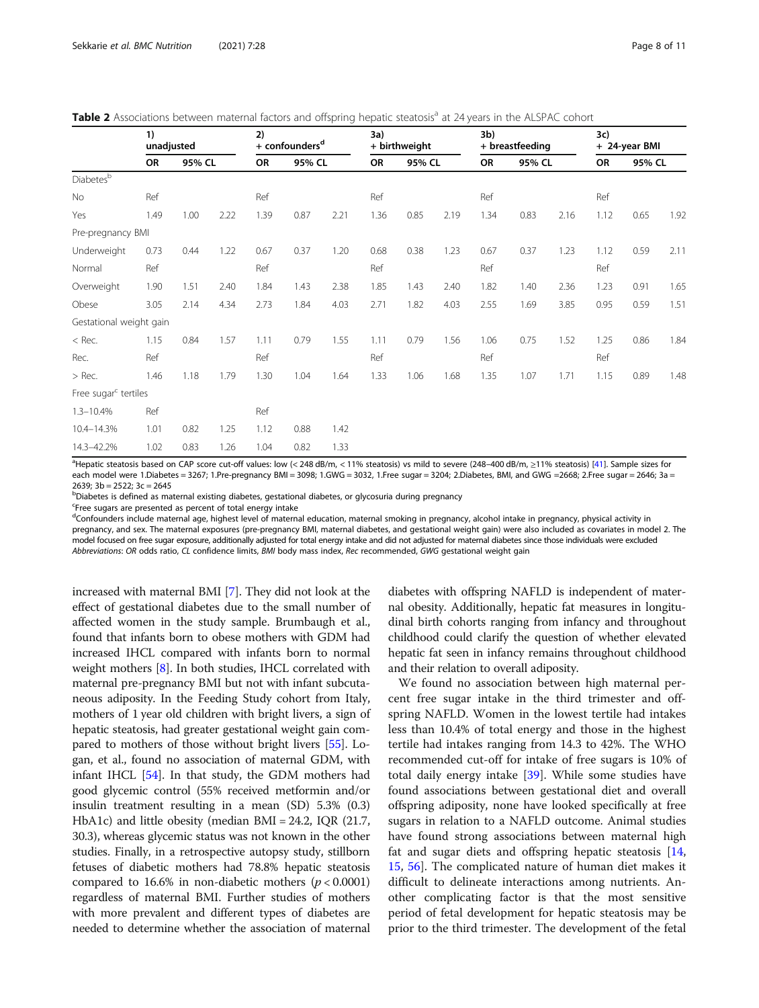<span id="page-7-0"></span>

| Table 2 Associations between maternal factors and offspring hepatic steatosis <sup>a</sup> at 24 years in the ALSPAC cohort |
|-----------------------------------------------------------------------------------------------------------------------------|
|-----------------------------------------------------------------------------------------------------------------------------|

|                                  | 1)<br>unadjusted |        | 2)<br>+ confounders <sup>d</sup> |      | 3a)<br>+ birthweight |      |      | 3b)<br>+ breastfeeding |      |      | 3c)<br>+ 24-year BMI |      |      |        |      |
|----------------------------------|------------------|--------|----------------------------------|------|----------------------|------|------|------------------------|------|------|----------------------|------|------|--------|------|
|                                  | OR               | 95% CL |                                  | OR   | 95% CL               |      | OR   | 95% CL                 |      | OR   | 95% CL               |      | OR   | 95% CL |      |
| Diabetesb                        |                  |        |                                  |      |                      |      |      |                        |      |      |                      |      |      |        |      |
| <b>No</b>                        | Ref              |        |                                  | Ref  |                      |      | Ref  |                        |      | Ref  |                      |      | Ref  |        |      |
| Yes                              | 1.49             | 1.00   | 2.22                             | 1.39 | 0.87                 | 2.21 | 1.36 | 0.85                   | 2.19 | 1.34 | 0.83                 | 2.16 | 1.12 | 0.65   | 1.92 |
| Pre-pregnancy BMI                |                  |        |                                  |      |                      |      |      |                        |      |      |                      |      |      |        |      |
| Underweight                      | 0.73             | 0.44   | 1.22                             | 0.67 | 0.37                 | 1.20 | 0.68 | 0.38                   | 1.23 | 0.67 | 0.37                 | 1.23 | 1.12 | 0.59   | 2.11 |
| Normal                           | Ref              |        |                                  | Ref  |                      |      | Ref  |                        |      | Ref  |                      |      | Ref  |        |      |
| Overweight                       | 1.90             | 1.51   | 2.40                             | 1.84 | 1.43                 | 2.38 | 1.85 | 1.43                   | 2.40 | 1.82 | 1.40                 | 2.36 | 1.23 | 0.91   | 1.65 |
| Obese                            | 3.05             | 2.14   | 4.34                             | 2.73 | 1.84                 | 4.03 | 2.71 | 1.82                   | 4.03 | 2.55 | 1.69                 | 3.85 | 0.95 | 0.59   | 1.51 |
| Gestational weight gain          |                  |        |                                  |      |                      |      |      |                        |      |      |                      |      |      |        |      |
| $<$ Rec.                         | 1.15             | 0.84   | 1.57                             | 1.11 | 0.79                 | 1.55 | 1.11 | 0.79                   | 1.56 | 1.06 | 0.75                 | 1.52 | 1.25 | 0.86   | 1.84 |
| Rec.                             | Ref              |        |                                  | Ref  |                      |      | Ref  |                        |      | Ref  |                      |      | Ref  |        |      |
| $>$ Rec.                         | 1.46             | 1.18   | 1.79                             | 1.30 | 1.04                 | 1.64 | 1.33 | 1.06                   | 1.68 | 1.35 | 1.07                 | 1.71 | 1.15 | 0.89   | 1.48 |
| Free sugar <sup>c</sup> tertiles |                  |        |                                  |      |                      |      |      |                        |      |      |                      |      |      |        |      |
| $1.3 - 10.4%$                    | Ref              |        |                                  | Ref  |                      |      |      |                        |      |      |                      |      |      |        |      |
| 10.4-14.3%                       | 1.01             | 0.82   | 1.25                             | 1.12 | 0.88                 | 1.42 |      |                        |      |      |                      |      |      |        |      |
| 14.3-42.2%                       | 1.02             | 0.83   | 1.26                             | 1.04 | 0.82                 | 1.33 |      |                        |      |      |                      |      |      |        |      |

a Hepatic steatosis based on CAP score cut-off values: low (< 248 dB/m, < 11% steatosis) vs mild to severe (248–400 dB/m, ≥11% steatosis) [[41\]](#page-10-0). Sample sizes for each model were 1.Diabetes = 3267; 1.Pre-pregnancy BMI = 3098; 1.GWG = 3032, 1.Free sugar = 3204; 2.Diabetes, BMI, and GWG =2668; 2.Free sugar = 2646; 3a = 2639; 3b = 2522; 3c = 2645

<sup>b</sup>Diabetes is defined as maternal existing diabetes, gestational diabetes, or glycosuria during pregnancy

<sup>c</sup>Free sugars are presented as percent of total energy intake

<sup>d</sup>Confounders include maternal age, highest level of maternal education, maternal smoking in pregnancy, alcohol intake in pregnancy, physical activity in pregnancy, and sex. The maternal exposures (pre-pregnancy BMI, maternal diabetes, and gestational weight gain) were also included as covariates in model 2. The model focused on free sugar exposure, additionally adjusted for total energy intake and did not adjusted for maternal diabetes since those individuals were excluded Abbreviations: OR odds ratio, CL confidence limits, BMI body mass index, Rec recommended, GWG gestational weight gain

increased with maternal BMI [[7](#page-9-0)]. They did not look at the effect of gestational diabetes due to the small number of affected women in the study sample. Brumbaugh et al., found that infants born to obese mothers with GDM had increased IHCL compared with infants born to normal weight mothers [\[8](#page-9-0)]. In both studies, IHCL correlated with maternal pre-pregnancy BMI but not with infant subcutaneous adiposity. In the Feeding Study cohort from Italy, mothers of 1 year old children with bright livers, a sign of hepatic steatosis, had greater gestational weight gain compared to mothers of those without bright livers [\[55\]](#page-10-0). Logan, et al., found no association of maternal GDM, with infant IHCL [\[54\]](#page-10-0). In that study, the GDM mothers had good glycemic control (55% received metformin and/or insulin treatment resulting in a mean (SD) 5.3% (0.3) HbA1c) and little obesity (median BMI = 24.2, IQR (21.7, 30.3), whereas glycemic status was not known in the other studies. Finally, in a retrospective autopsy study, stillborn fetuses of diabetic mothers had 78.8% hepatic steatosis compared to 16.6% in non-diabetic mothers ( $p < 0.0001$ ) regardless of maternal BMI. Further studies of mothers with more prevalent and different types of diabetes are needed to determine whether the association of maternal diabetes with offspring NAFLD is independent of maternal obesity. Additionally, hepatic fat measures in longitudinal birth cohorts ranging from infancy and throughout childhood could clarify the question of whether elevated hepatic fat seen in infancy remains throughout childhood and their relation to overall adiposity.

We found no association between high maternal percent free sugar intake in the third trimester and offspring NAFLD. Women in the lowest tertile had intakes less than 10.4% of total energy and those in the highest tertile had intakes ranging from 14.3 to 42%. The WHO recommended cut-off for intake of free sugars is 10% of total daily energy intake [[39\]](#page-10-0). While some studies have found associations between gestational diet and overall offspring adiposity, none have looked specifically at free sugars in relation to a NAFLD outcome. Animal studies have found strong associations between maternal high fat and sugar diets and offspring hepatic steatosis [[14](#page-9-0), [15,](#page-9-0) [56\]](#page-10-0). The complicated nature of human diet makes it difficult to delineate interactions among nutrients. Another complicating factor is that the most sensitive period of fetal development for hepatic steatosis may be prior to the third trimester. The development of the fetal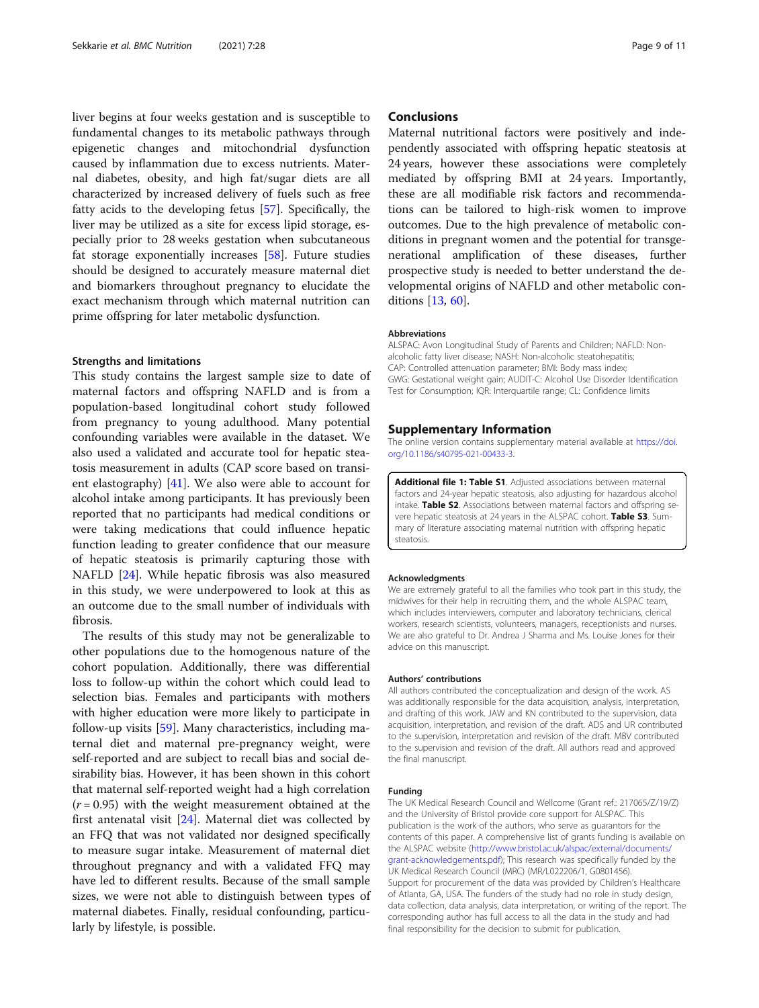<span id="page-8-0"></span>liver begins at four weeks gestation and is susceptible to fundamental changes to its metabolic pathways through epigenetic changes and mitochondrial dysfunction caused by inflammation due to excess nutrients. Maternal diabetes, obesity, and high fat/sugar diets are all characterized by increased delivery of fuels such as free fatty acids to the developing fetus [\[57\]](#page-10-0). Specifically, the liver may be utilized as a site for excess lipid storage, especially prior to 28 weeks gestation when subcutaneous fat storage exponentially increases [\[58](#page-10-0)]. Future studies should be designed to accurately measure maternal diet and biomarkers throughout pregnancy to elucidate the exact mechanism through which maternal nutrition can prime offspring for later metabolic dysfunction.

#### Strengths and limitations

This study contains the largest sample size to date of maternal factors and offspring NAFLD and is from a population-based longitudinal cohort study followed from pregnancy to young adulthood. Many potential confounding variables were available in the dataset. We also used a validated and accurate tool for hepatic steatosis measurement in adults (CAP score based on transient elastography) [[41\]](#page-10-0). We also were able to account for alcohol intake among participants. It has previously been reported that no participants had medical conditions or were taking medications that could influence hepatic function leading to greater confidence that our measure of hepatic steatosis is primarily capturing those with NAFLD [\[24](#page-9-0)]. While hepatic fibrosis was also measured in this study, we were underpowered to look at this as an outcome due to the small number of individuals with fibrosis.

The results of this study may not be generalizable to other populations due to the homogenous nature of the cohort population. Additionally, there was differential loss to follow-up within the cohort which could lead to selection bias. Females and participants with mothers with higher education were more likely to participate in follow-up visits [\[59](#page-10-0)]. Many characteristics, including maternal diet and maternal pre-pregnancy weight, were self-reported and are subject to recall bias and social desirability bias. However, it has been shown in this cohort that maternal self-reported weight had a high correlation  $(r = 0.95)$  with the weight measurement obtained at the first antenatal visit [[24\]](#page-9-0). Maternal diet was collected by an FFQ that was not validated nor designed specifically to measure sugar intake. Measurement of maternal diet throughout pregnancy and with a validated FFQ may have led to different results. Because of the small sample sizes, we were not able to distinguish between types of maternal diabetes. Finally, residual confounding, particularly by lifestyle, is possible.

#### **Conclusions**

Maternal nutritional factors were positively and independently associated with offspring hepatic steatosis at 24 years, however these associations were completely mediated by offspring BMI at 24 years. Importantly, these are all modifiable risk factors and recommendations can be tailored to high-risk women to improve outcomes. Due to the high prevalence of metabolic conditions in pregnant women and the potential for transgenerational amplification of these diseases, further prospective study is needed to better understand the developmental origins of NAFLD and other metabolic conditions [[13](#page-9-0), [60](#page-10-0)].

#### Abbreviations

ALSPAC: Avon Longitudinal Study of Parents and Children; NAFLD: Nonalcoholic fatty liver disease; NASH: Non-alcoholic steatohepatitis; CAP: Controlled attenuation parameter; BMI: Body mass index; GWG: Gestational weight gain; AUDIT-C: Alcohol Use Disorder Identification Test for Consumption; IQR: Interquartile range; CL: Confidence limits

#### Supplementary Information

The online version contains supplementary material available at [https://doi.](https://doi.org/10.1186/s40795-021-00433-3) [org/10.1186/s40795-021-00433-3.](https://doi.org/10.1186/s40795-021-00433-3)

Additional file 1: Table S1. Adjusted associations between maternal factors and 24-year hepatic steatosis, also adjusting for hazardous alcohol intake. Table S2. Associations between maternal factors and offspring severe hepatic steatosis at 24 years in the ALSPAC cohort. Table S3. Summary of literature associating maternal nutrition with offspring hepatic steatosis.

#### Acknowledgments

We are extremely grateful to all the families who took part in this study, the midwives for their help in recruiting them, and the whole ALSPAC team, which includes interviewers, computer and laboratory technicians, clerical workers, research scientists, volunteers, managers, receptionists and nurses. We are also grateful to Dr. Andrea J Sharma and Ms. Louise Jones for their advice on this manuscript.

#### Authors' contributions

All authors contributed the conceptualization and design of the work. AS was additionally responsible for the data acquisition, analysis, interpretation, and drafting of this work. JAW and KN contributed to the supervision, data acquisition, interpretation, and revision of the draft. ADS and UR contributed to the supervision, interpretation and revision of the draft. MBV contributed to the supervision and revision of the draft. All authors read and approved the final manuscript.

#### Funding

The UK Medical Research Council and Wellcome (Grant ref.: 217065/Z/19/Z) and the University of Bristol provide core support for ALSPAC. This publication is the work of the authors, who serve as guarantors for the contents of this paper. A comprehensive list of grants funding is available on the ALSPAC website [\(http://www.bristol.ac.uk/alspac/external/documents/](http://www.bristol.ac.uk/alspac/external/documents/grant-acknowledgements.pdf) [grant-acknowledgements.pdf\)](http://www.bristol.ac.uk/alspac/external/documents/grant-acknowledgements.pdf); This research was specifically funded by the UK Medical Research Council (MRC) (MR/L022206/1, G0801456). Support for procurement of the data was provided by Children's Healthcare of Atlanta, GA, USA. The funders of the study had no role in study design, data collection, data analysis, data interpretation, or writing of the report. The corresponding author has full access to all the data in the study and had final responsibility for the decision to submit for publication.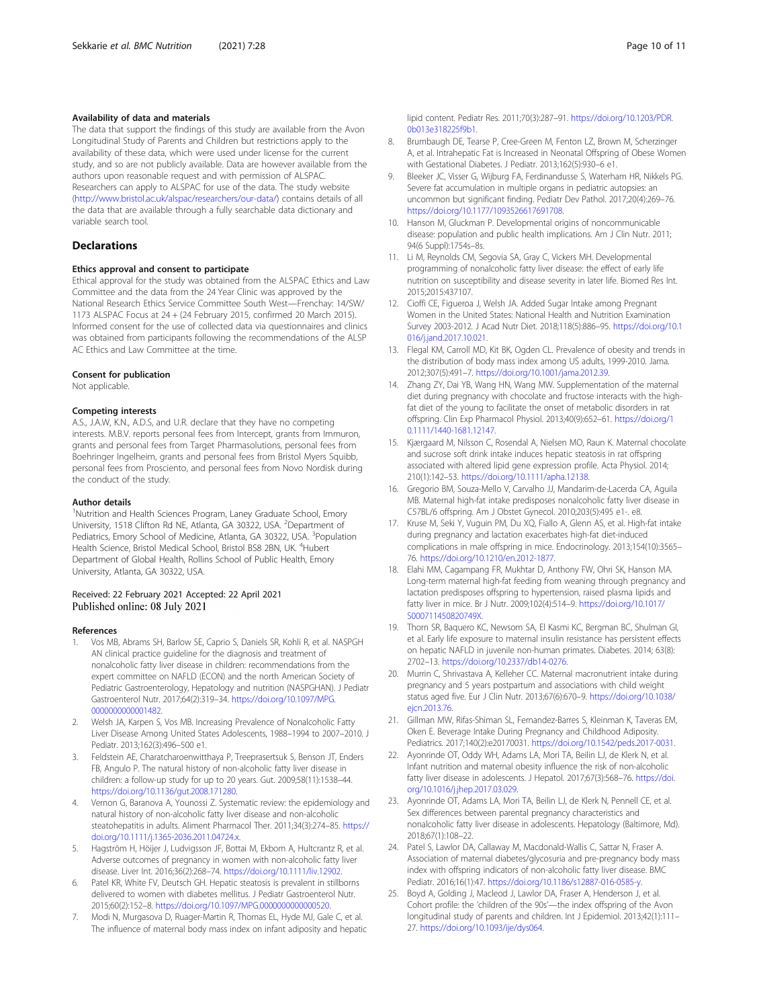#### <span id="page-9-0"></span>Availability of data and materials

The data that support the findings of this study are available from the Avon Longitudinal Study of Parents and Children but restrictions apply to the availability of these data, which were used under license for the current study, and so are not publicly available. Data are however available from the authors upon reasonable request and with permission of ALSPAC. Researchers can apply to ALSPAC for use of the data. The study website (<http://www.bristol.ac.uk/alspac/researchers/our-data/>) contains details of all the data that are available through a fully searchable data dictionary and variable search tool.

#### **Declarations**

#### Ethics approval and consent to participate

Ethical approval for the study was obtained from the ALSPAC Ethics and Law Committee and the data from the 24 Year Clinic was approved by the National Research Ethics Service Committee South West—Frenchay: 14/SW/ 1173 ALSPAC Focus at 24 + (24 February 2015, confirmed 20 March 2015). Informed consent for the use of collected data via questionnaires and clinics was obtained from participants following the recommendations of the ALSP AC Ethics and Law Committee at the time.

#### Consent for publication

Not applicable.

#### Competing interests

A.S., J.A.W, K.N., A.D.S, and U.R. declare that they have no competing interests. M.B.V. reports personal fees from Intercept, grants from Immuron, grants and personal fees from Target Pharmasolutions, personal fees from Boehringer Ingelheim, grants and personal fees from Bristol Myers Squibb, personal fees from Prosciento, and personal fees from Novo Nordisk during the conduct of the study.

#### Author details

<sup>1</sup>Nutrition and Health Sciences Program, Laney Graduate School, Emory University, 1518 Clifton Rd NE, Atlanta, GA 30322, USA. <sup>2</sup>Department of Pediatrics, Emory School of Medicine, Atlanta, GA 30322, USA. <sup>3</sup>Population Health Science, Bristol Medical School, Bristol BS8 2BN, UK. <sup>4</sup>Hubert Department of Global Health, Rollins School of Public Health, Emory University, Atlanta, GA 30322, USA.

#### Received: 22 February 2021 Accepted: 22 April 2021 Published online: 08 July 2021

#### References

- Vos MB, Abrams SH, Barlow SE, Caprio S, Daniels SR, Kohli R, et al. NASPGH AN clinical practice guideline for the diagnosis and treatment of nonalcoholic fatty liver disease in children: recommendations from the expert committee on NAFLD (ECON) and the north American Society of Pediatric Gastroenterology, Hepatology and nutrition (NASPGHAN). J Pediatr Gastroenterol Nutr. 2017;64(2):319–34. [https://doi.org/10.1097/MPG.](https://doi.org/10.1097/MPG.0000000000001482) [0000000000001482](https://doi.org/10.1097/MPG.0000000000001482).
- 2. Welsh JA, Karpen S, Vos MB. Increasing Prevalence of Nonalcoholic Fatty Liver Disease Among United States Adolescents, 1988–1994 to 2007–2010. J Pediatr. 2013;162(3):496–500 e1.
- Feldstein AE, Charatcharoenwitthaya P, Treeprasertsuk S, Benson JT, Enders FB, Angulo P. The natural history of non-alcoholic fatty liver disease in children: a follow-up study for up to 20 years. Gut. 2009;58(11):1538–44. <https://doi.org/10.1136/gut.2008.171280>.
- Vernon G, Baranova A, Younossi Z. Systematic review: the epidemiology and natural history of non-alcoholic fatty liver disease and non-alcoholic steatohepatitis in adults. Aliment Pharmacol Ther. 2011;34(3):274–85. [https://](https://doi.org/10.1111/j.1365-2036.2011.04724.x) [doi.org/10.1111/j.1365-2036.2011.04724.x.](https://doi.org/10.1111/j.1365-2036.2011.04724.x)
- 5. Hagström H, Höijer J, Ludvigsson JF, Bottai M, Ekbom A, Hultcrantz R, et al. Adverse outcomes of pregnancy in women with non-alcoholic fatty liver disease. Liver Int. 2016;36(2):268–74. <https://doi.org/10.1111/liv.12902>.
- Patel KR, White FV, Deutsch GH. Hepatic steatosis is prevalent in stillborns delivered to women with diabetes mellitus. J Pediatr Gastroenterol Nutr. 2015;60(2):152–8. [https://doi.org/10.1097/MPG.0000000000000520.](https://doi.org/10.1097/MPG.0000000000000520)
- 7. Modi N, Murgasova D, Ruager-Martin R, Thomas EL, Hyde MJ, Gale C, et al. The influence of maternal body mass index on infant adiposity and hepatic

lipid content. Pediatr Res. 2011;70(3):287–91. [https://doi.org/10.1203/PDR.](https://doi.org/10.1203/PDR.0b013e318225f9b1) [0b013e318225f9b1.](https://doi.org/10.1203/PDR.0b013e318225f9b1)

- 8. Brumbaugh DE, Tearse P, Cree-Green M, Fenton LZ, Brown M, Scherzinger A, et al. Intrahepatic Fat is Increased in Neonatal Offspring of Obese Women with Gestational Diabetes. J Pediatr. 2013;162(5):930–6 e1.
- 9. Bleeker JC, Visser G, Wijburg FA, Ferdinandusse S, Waterham HR, Nikkels PG. Severe fat accumulation in multiple organs in pediatric autopsies: an uncommon but significant finding. Pediatr Dev Pathol. 2017;20(4):269–76. [https://doi.org/10.1177/1093526617691708.](https://doi.org/10.1177/1093526617691708)
- 10. Hanson M, Gluckman P. Developmental origins of noncommunicable disease: population and public health implications. Am J Clin Nutr. 2011; 94(6 Suppl):1754s–8s.
- 11. Li M, Reynolds CM, Segovia SA, Gray C, Vickers MH. Developmental programming of nonalcoholic fatty liver disease: the effect of early life nutrition on susceptibility and disease severity in later life. Biomed Res Int. 2015;2015:437107.
- 12. Cioffi CE, Figueroa J, Welsh JA. Added Sugar Intake among Pregnant Women in the United States: National Health and Nutrition Examination Survey 2003-2012. J Acad Nutr Diet. 2018;118(5):886–95. [https://doi.org/10.1](https://doi.org/10.1016/j.jand.2017.10.021) [016/j.jand.2017.10.021.](https://doi.org/10.1016/j.jand.2017.10.021)
- 13. Flegal KM, Carroll MD, Kit BK, Ogden CL. Prevalence of obesity and trends in the distribution of body mass index among US adults, 1999-2010. Jama. 2012;307(5):491–7. <https://doi.org/10.1001/jama.2012.39>.
- 14. Zhang ZY, Dai YB, Wang HN, Wang MW. Supplementation of the maternal diet during pregnancy with chocolate and fructose interacts with the highfat diet of the young to facilitate the onset of metabolic disorders in rat offspring. Clin Exp Pharmacol Physiol. 2013;40(9):652–61. [https://doi.org/1](https://doi.org/10.1111/1440-1681.12147) [0.1111/1440-1681.12147](https://doi.org/10.1111/1440-1681.12147).
- 15. Kjærgaard M, Nilsson C, Rosendal A, Nielsen MO, Raun K. Maternal chocolate and sucrose soft drink intake induces hepatic steatosis in rat offspring associated with altered lipid gene expression profile. Acta Physiol. 2014; 210(1):142–53. [https://doi.org/10.1111/apha.12138.](https://doi.org/10.1111/apha.12138)
- 16. Gregorio BM, Souza-Mello V, Carvalho JJ, Mandarim-de-Lacerda CA, Aguila MB. Maternal high-fat intake predisposes nonalcoholic fatty liver disease in C57BL/6 offspring. Am J Obstet Gynecol. 2010;203(5):495 e1-. e8.
- 17. Kruse M, Seki Y, Vuguin PM, Du XQ, Fiallo A, Glenn AS, et al. High-fat intake during pregnancy and lactation exacerbates high-fat diet-induced complications in male offspring in mice. Endocrinology. 2013;154(10):3565– 76. [https://doi.org/10.1210/en.2012-1877.](https://doi.org/10.1210/en.2012-1877)
- 18. Elahi MM, Cagampang FR, Mukhtar D, Anthony FW, Ohri SK, Hanson MA. Long-term maternal high-fat feeding from weaning through pregnancy and lactation predisposes offspring to hypertension, raised plasma lipids and fatty liver in mice. Br J Nutr. 2009;102(4):514–9. [https://doi.org/10.1017/](https://doi.org/10.1017/S000711450820749X) [S000711450820749X](https://doi.org/10.1017/S000711450820749X).
- 19. Thorn SR, Baquero KC, Newsom SA, El Kasmi KC, Bergman BC, Shulman GI, et al. Early life exposure to maternal insulin resistance has persistent effects on hepatic NAFLD in juvenile non-human primates. Diabetes. 2014; 63(8): 2702–13. [https://doi.org/10.2337/db14-0276.](https://doi.org/10.2337/db14-0276)
- 20. Murrin C, Shrivastava A, Kelleher CC. Maternal macronutrient intake during pregnancy and 5 years postpartum and associations with child weight status aged five. Eur J Clin Nutr. 2013;67(6):670–9. [https://doi.org/10.1038/](https://doi.org/10.1038/ejcn.2013.76) eicn.2013.76
- 21. Gillman MW, Rifas-Shiman SL, Fernandez-Barres S, Kleinman K, Taveras EM, Oken E. Beverage Intake During Pregnancy and Childhood Adiposity. Pediatrics. 2017;140(2):e20170031. [https://doi.org/10.1542/peds.2017-0031.](https://doi.org/10.1542/peds.2017-0031)
- 22. Ayonrinde OT, Oddy WH, Adams LA, Mori TA, Beilin LJ, de Klerk N, et al. Infant nutrition and maternal obesity influence the risk of non-alcoholic fatty liver disease in adolescents. J Hepatol. 2017;67(3):568–76. [https://doi.](https://doi.org/10.1016/j.jhep.2017.03.029) [org/10.1016/j.jhep.2017.03.029](https://doi.org/10.1016/j.jhep.2017.03.029).
- 23. Ayonrinde OT, Adams LA, Mori TA, Beilin LJ, de Klerk N, Pennell CE, et al. Sex differences between parental pregnancy characteristics and nonalcoholic fatty liver disease in adolescents. Hepatology (Baltimore, Md). 2018;67(1):108–22.
- 24. Patel S, Lawlor DA, Callaway M, Macdonald-Wallis C, Sattar N, Fraser A. Association of maternal diabetes/glycosuria and pre-pregnancy body mass index with offspring indicators of non-alcoholic fatty liver disease. BMC Pediatr. 2016;16(1):47. <https://doi.org/10.1186/s12887-016-0585-y>.
- 25. Boyd A, Golding J, Macleod J, Lawlor DA, Fraser A, Henderson J, et al. Cohort profile: the 'children of the 90s'—the index offspring of the Avon longitudinal study of parents and children. Int J Epidemiol. 2013;42(1):111– 27. [https://doi.org/10.1093/ije/dys064.](https://doi.org/10.1093/ije/dys064)